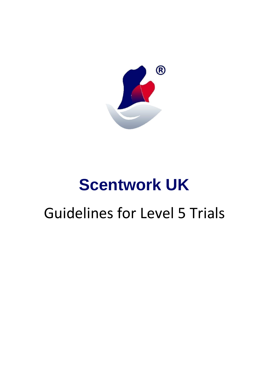

# **Scentwork UK**

# Guidelines for Level 5 Trials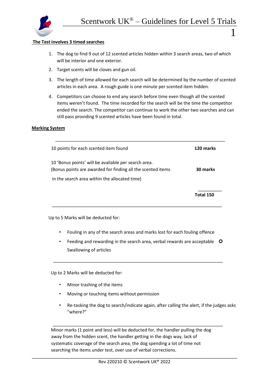

i<br>I

i<br>I

l,

#### **The Test involves 3 timed searches**

- 1. The dog to find 9 out of 12 scented articles hidden within 3 search areas, two of which will be interior and one exterior.
- 2. Target scents will be cloves and gun oil.
- 3. The length of time allowed for each search will be determined by the number of scented articles in each area. A rough guide is one minute per scented item hidden.
- 4. Competitors can choose to end any search before time even though all the scented items weren't found. The time recorded for the search will be the time the competitor ended the search. The competitor can continue to work the other two searches and can still pass providing 9 scented articles have been found in total.

#### **Marking System**

| 10 points for each scented item found                                                                               | 120 marks |
|---------------------------------------------------------------------------------------------------------------------|-----------|
| 10 'Bonus points' will be available per search area.<br>(Bonus points are awarded for finding all the scented items | 30 marks  |
| in the search area within the allocated time)                                                                       |           |
|                                                                                                                     | Total 150 |

Up to 5 Marks will be deducted for:

- Fouling in any of the search areas and marks lost for each fouling offence
- Feeding and rewarding in the search area, verbal rewards are acceptable O Swallowing of articles

Up to 2 Marks will be deducted for:

- Minor trashing of the items
- Moving or touching items without permission
- Re-tasking the dog to search/indicate again, after calling the alert, if the judges asks "where?"

Minor marks (1 point and less) will be deducted for, the handler pulling the dog away from the hidden scent, the handler getting in the dogs way, lack of systematic coverage of the search area, the dog spending a lot of time not searching the items under test, over use of verbal corrections.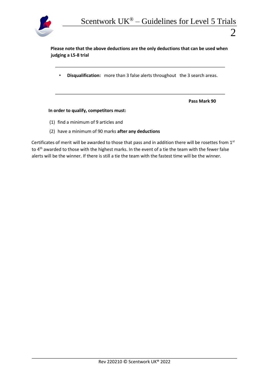

i<br>I

i<br>I

**Please note that the above deductions are the only deductions that can be used when judging a L5-8 trial** 

• **Disqualification:** more than 3 false alerts throughout the 3 search areas.

**Pass Mark 90** 

#### **In order to qualify, competitors must:**

- (1) find a minimum of 9 articles and
- (2) have a minimum of 90 marks **after any deductions**

Certificates of merit will be awarded to those that pass and in addition there will be rosettes from 1st to 4<sup>th</sup> awarded to those with the highest marks. In the event of a tie the team with the fewer false alerts will be the winner. If there is still a tie the team with the fastest time will be the winner.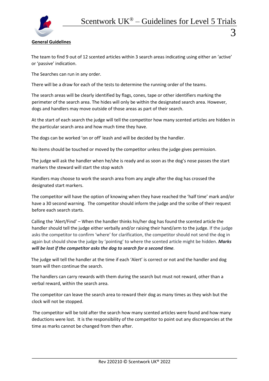

# **General Guidelines**

The team to find 9 out of 12 scented articles within 3 search areas indicating using either an 'active' or 'passive' indication.

The Searches can run in any order.

There will be a draw for each of the tests to determine the running order of the teams.

The search areas will be clearly identified by flags, cones, tape or other identifiers marking the perimeter of the search area. The hides will only be within the designated search area. However, dogs and handlers may move outside of those areas as part of their search.

At the start of each search the judge will tell the competitor how many scented articles are hidden in the particular search area and how much time they have.

The dogs can be worked 'on or off' leash and will be decided by the handler.

No items should be touched or moved by the competitor unless the judge gives permission.

The judge will ask the handler when he/she is ready and as soon as the dog's nose passes the start markers the steward will start the stop watch

Handlers may choose to work the search area from any angle after the dog has crossed the designated start markers.

The competitor will have the option of knowing when they have reached the 'half time' mark and/or have a 30 second warning. The competitor should inform the judge and the scribe of their request before each search starts.

Calling the 'Alert/Find' – When the handler thinks his/her dog has found the scented article the handler should tell the judge either verbally and/or raising their hand/arm to the judge. If the judge asks the competitor to confirm 'where' for clarification, the competitor should not send the dog in again but should show the judge by 'pointing' to where the scented article might be hidden. *Marks will be lost if the competitor asks the dog to search for a second time.*

The judge will tell the handler at the time if each 'Alert' is correct or not and the handler and dog team will then continue the search.

The handlers can carry rewards with them during the search but must not reward, other than a verbal reward, within the search area.

The competitor can leave the search area to reward their dog as many times as they wish but the clock will not be stopped.

The competitor will be told after the search how many scented articles were found and how many deductions were lost. It is the responsibility of the competitor to point out any discrepancies at the time as marks cannot be changed from then after.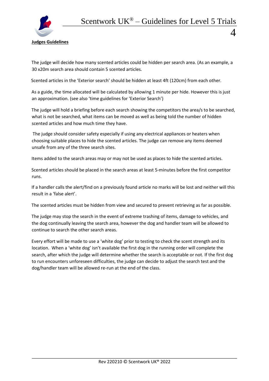

# **Judges Guidelines**

The judge will decide how many scented articles could be hidden per search area. (As an example, a 30 x20m search area should contain 5 scented articles.

Scented articles in the 'Exterior search' should be hidden at least 4ft (120cm) from each other.

As a guide, the time allocated will be calculated by allowing 1 minute per hide. However this is just an approximation. (see also 'time guidelines for 'Exterior Search')

The judge will hold a briefing before each search showing the competitors the area/s to be searched, what is not be searched, what items can be moved as well as being told the number of hidden scented articles and how much time they have.

The judge should consider safety especially if using any electrical appliances or heaters when choosing suitable places to hide the scented articles. The judge can remove any items deemed unsafe from any of the three search sites.

Items added to the search areas may or may not be used as places to hide the scented articles.

Scented articles should be placed in the search areas at least 5-minutes before the first competitor runs.

If a handler calls the alert/find on a previously found article no marks will be lost and neither will this result in a 'false alert'.

The scented articles must be hidden from view and secured to prevent retrieving as far as possible.

The judge may stop the search in the event of extreme trashing of items, damage to vehicles, and the dog continually leaving the search area, however the dog and handler team will be allowed to continue to search the other search areas.

Every effort will be made to use a 'white dog' prior to testing to check the scent strength and its location. When a 'white dog' isn't available the first dog in the running order will complete the search, after which the judge will determine whether the search is acceptable or not. If the first dog to run encounters unforeseen difficulties, the judge can decide to adjust the search test and the dog/handler team will be allowed re-run at the end of the class.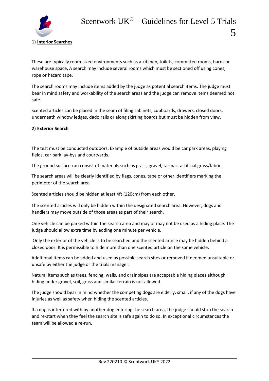# **1) Interior Searches**

These are typically room-sized environments such as a kitchen, toilets, committee rooms, barns or warehouse space. A search may include several rooms which must be sectioned off using cones, rope or hazard tape.

The search rooms may include items added by the judge as potential search items. The judge must bear in mind safety and workability of the search areas and the judge can remove items deemed not safe.

Scented articles can be placed in the seam of filing cabinets, cupboards, drawers, closed doors, underneath window ledges, dado rails or along skirting boards but must be hidden from view.

### **2) Exterior Search**

The test must be conducted outdoors. Example of outside areas would be car park areas, playing fields, car park lay-bys and courtyards.

The ground surface can consist of materials such as grass, gravel, tarmac, artificial grass/fabric.

The search areas will be clearly identified by flags, cones, tape or other identifiers marking the perimeter of the search area.

Scented articles should be hidden at least 4ft (120cm) from each other.

The scented articles will only be hidden within the designated search area. However, dogs and handlers may move outside of those areas as part of their search.

One vehicle can be parked within the search area and may or may not be used as a hiding place. The judge should allow extra time by adding one minute per vehicle.

Only the exterior of the vehicle is to be searched and the scented article may be hidden behind a closed door. It is permissible to hide more than one scented article on the same vehicle.

Additional Items can be added and used as possible search sites or removed if deemed unsuitable or unsafe by either the judge or the trials manager.

Natural items such as trees, fencing, walls, and drainpipes are acceptable hiding places although hiding under gravel, soil, grass and similar terrain is not allowed.

The judge should bear in mind whether the competing dogs are elderly, small, if any of the dogs have injuries as well as safety when hiding the scented articles.

If a dog is interfered with by another dog entering the search area, the judge should stop the search and re-start when they feel the search site is safe again to do so. In exceptional circumstances the team will be allowed a re-run.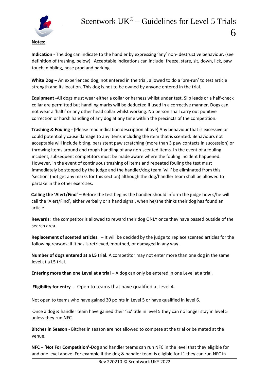

**Indication** - The dog can indicate to the handler by expressing 'any' non- destructive behaviour. (see definition of trashing, below). Acceptable indications can include: freeze, stare, sit, down, lick, paw touch, nibbling, nose prod and barking.

**White Dog –** An experienced dog, not entered in the trial, allowed to do a 'pre-run' to test article strength and its location. This dog is not to be owned by anyone entered in the trial.

**Equipment -**All dogs must wear either a collar or harness whilst under test. Slip leads or a half-check collar are permitted but handling marks will be deducted if used in a corrective manner. Dogs can not wear a 'halti' or any other head collar whilst working. No person shall carry out punitive correction or harsh handling of any dog at any time within the precincts of the competition.

**Trashing & Fouling** *-* (Please read indication description above) Any behaviour that is excessive or could potentially cause damage to any items including the item that is scented. Behaviours not acceptable will include biting, persistent paw scratching (more than 3 paw contacts in succession) or throwing items around and rough handling of any non-scented items. In the event of a fouling incident, subsequent competitors must be made aware where the fouling incident happened. However, in the event of continuous trashing of items and repeated fouling the test must immediately be stopped by the judge and the handler/dog team 'will' be eliminated from this 'section' (not get any marks for this section) although the dog/handler team shall be allowed to partake in the other exercises.

**Calling the 'Alert/Find' –** Before the test begins the handler should inform the judge how s/he will call the 'Alert/Find', either verbally or a hand signal, when he/she thinks their dog has found an article.

**Rewards**: the competitor is allowed to reward their dog ONLY once they have passed outside of the search area.

**Replacement of scented articles.** – It will be decided by the judge to replace scented articles for the following reasons: if it has is retrieved, mouthed, or damaged in any way.

**Number of dogs entered at a L5 trial.** A competitor may not enter more than one dog in the same level at a L5 trial.

**Entering more than one Level at a trial** - A dog can only be entered in one Level at a trial.

**Eligibility for entry** - Open to teams that have qualified at level 4.

Not open to teams who have gained 30 points in Level 5 or have qualified in level 6.

Once a dog & handler team have gained their 'Ex' title in level 5 they can no longer stay in level 5 unless they run NFC.

**Bitches in Season** - Bitches in season are not allowed to compete at the trial or be mated at the venue.

**NFC – 'Not For Competition'-**Dog and handler teams can run NFC in the level that they eligible for and one level above. For example if the dog & handler team is eligible for L1 they can run NFC in